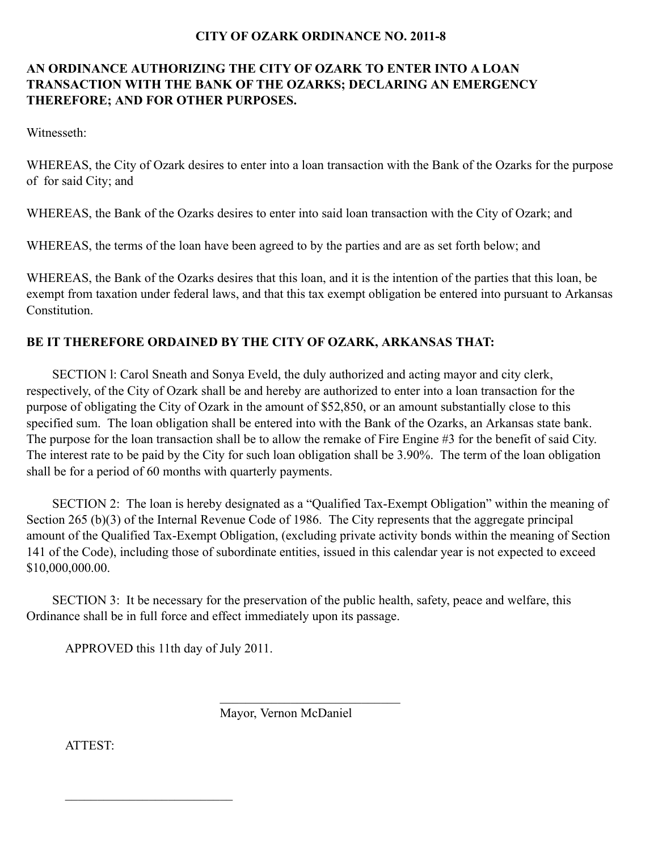## **CITY OF OZARK ORDINANCE NO. 2011-8**

## **AN ORDINANCE AUTHORIZING THE CITY OF OZARK TO ENTER INTO A LOAN TRANSACTION WITH THE BANK OF THE OZARKS; DECLARING AN EMERGENCY THEREFORE; AND FOR OTHER PURPOSES.**

Witnesseth:

WHEREAS, the City of Ozark desires to enter into a loan transaction with the Bank of the Ozarks for the purpose of for said City; and

WHEREAS, the Bank of the Ozarks desires to enter into said loan transaction with the City of Ozark; and

WHEREAS, the terms of the loan have been agreed to by the parties and are as set forth below; and

WHEREAS, the Bank of the Ozarks desires that this loan, and it is the intention of the parties that this loan, be exempt from taxation under federal laws, and that this tax exempt obligation be entered into pursuant to Arkansas **Constitution** 

## **BE IT THEREFORE ORDAINED BY THE CITY OF OZARK, ARKANSAS THAT:**

SECTION l: Carol Sneath and Sonya Eveld, the duly authorized and acting mayor and city clerk, respectively, of the City of Ozark shall be and hereby are authorized to enter into a loan transaction for the purpose of obligating the City of Ozark in the amount of \$52,850, or an amount substantially close to this specified sum. The loan obligation shall be entered into with the Bank of the Ozarks, an Arkansas state bank. The purpose for the loan transaction shall be to allow the remake of Fire Engine #3 for the benefit of said City. The interest rate to be paid by the City for such loan obligation shall be 3.90%. The term of the loan obligation shall be for a period of 60 months with quarterly payments.

SECTION 2: The loan is hereby designated as a "Qualified Tax-Exempt Obligation" within the meaning of Section 265 (b)(3) of the Internal Revenue Code of 1986. The City represents that the aggregate principal amount of the Qualified Tax-Exempt Obligation, (excluding private activity bonds within the meaning of Section 141 of the Code), including those of subordinate entities, issued in this calendar year is not expected to exceed \$10,000,000.00.

SECTION 3: It be necessary for the preservation of the public health, safety, peace and welfare, this Ordinance shall be in full force and effect immediately upon its passage.

APPROVED this 11th day of July 2011.

\_\_\_\_\_\_\_\_\_\_\_\_\_\_\_\_\_\_\_\_\_\_\_\_\_\_

Mayor, Vernon McDaniel

 $\mathcal{L}_\text{max}$  , and the set of the set of the set of the set of the set of the set of the set of the set of the set of the set of the set of the set of the set of the set of the set of the set of the set of the set of the

ATTEST: